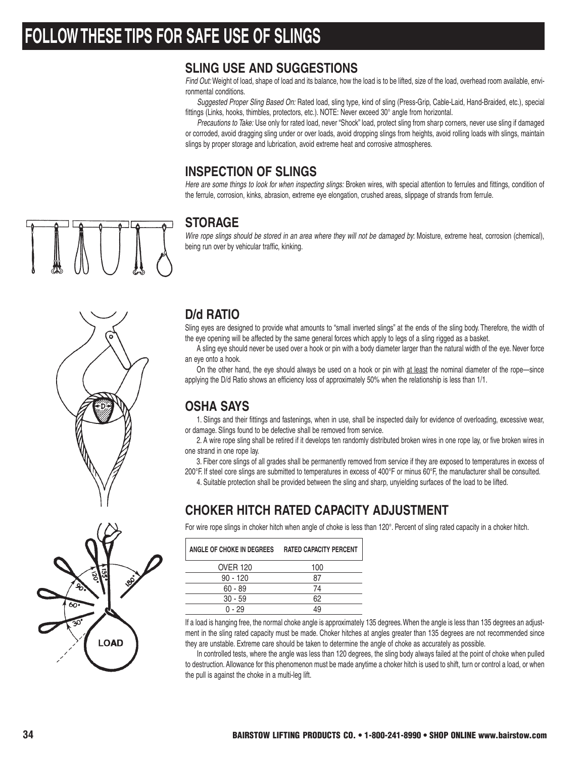# **FOLLOW THESE TIPS FOR SAFE USE OF SLINGS**

### **SLING USE AND SUGGESTIONS**

Find Out: Weight of load, shape of load and its balance, how the load is to be lifted, size of the load, overhead room available, environmental conditions.

Suggested Proper Sling Based On: Rated load, sling type, kind of sling (Press-Grip, Cable-Laid, Hand-Braided, etc.), special fittings (Links, hooks, thimbles, protectors, etc.). NOTE: Never exceed 30° angle from horizontal.

Precautions to Take: Use only for rated load, never "Shock" load, protect sling from sharp corners, never use sling if damaged or corroded, avoid dragging sling under or over loads, avoid dropping slings from heights, avoid rolling loads with slings, maintain slings by proper storage and lubrication, avoid extreme heat and corrosive atmospheres.

## **INSPECTION OF SLINGS**

Here are some things to look for when inspecting slings: Broken wires, with special attention to ferrules and fittings, condition of the ferrule, corrosion, kinks, abrasion, extreme eye elongation, crushed areas, slippage of strands from ferrule.

### **STORAGE**

Wire rope slings should be stored in an area where they will not be damaged by: Moisture, extreme heat, corrosion (chemical), being run over by vehicular traffic, kinking.



# **LOAD**

### **D/d RATIO**

Sling eyes are designed to provide what amounts to "small inverted slings" at the ends of the sling body. Therefore, the width of the eye opening will be affected by the same general forces which apply to legs of a sling rigged as a basket.

A sling eye should never be used over a hook or pin with a body diameter larger than the natural width of the eye. Never force an eye onto a hook.

On the other hand, the eye should always be used on a hook or pin with at least the nominal diameter of the rope—since applying the D/d Ratio shows an efficiency loss of approximately 50% when the relationship is less than 1/1.

# **OSHA SAYS**

1. Slings and their fittings and fastenings, when in use, shall be inspected daily for evidence of overloading, excessive wear, or damage. Slings found to be defective shall be removed from service.

2. A wire rope sling shall be retired if it develops ten randomly distributed broken wires in one rope lay, or five broken wires in one strand in one rope lay.

3. Fiber core slings of all grades shall be permanently removed from service if they are exposed to temperatures in excess of 200°F. If steel core slings are submitted to temperatures in excess of 400°F or minus 60°F, the manufacturer shall be consulted.

4. Suitable protection shall be provided between the sling and sharp, unyielding surfaces of the load to be lifted.

# **CHOKER HITCH RATED CAPACITY ADJUSTMENT**

For wire rope slings in choker hitch when angle of choke is less than 120°. Percent of sling rated capacity in a choker hitch.

| ANGLE OF CHOKE IN DEGREES | <b>RATED CAPACITY PERCENT</b> |
|---------------------------|-------------------------------|
| <b>OVER 120</b>           | 100                           |
| $90 - 120$                | 87                            |
| $60 - 89$                 | 74                            |
| $30 - 59$                 | 62                            |
| $0 - 29$                  |                               |

If a load is hanging free, the normal choke angle is approximately 135 degrees.When the angle is less than 135 degrees an adjustment in the sling rated capacity must be made. Choker hitches at angles greater than 135 degrees are not recommended since they are unstable. Extreme care should be taken to determine the angle of choke as accurately as possible.

In controlled tests, where the angle was less than 120 degrees, the sling body always failed at the point of choke when pulled to destruction. Allowance for this phenomenon must be made anytime a choker hitch is used to shift, turn or control a load, or when the pull is against the choke in a multi-leg lift.